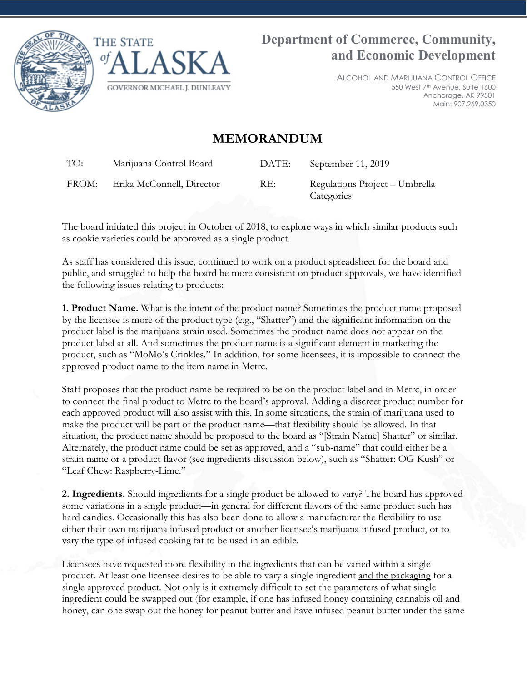



ALCOHOL AND MARIJUANA CONTROL OFFICE 550 West 7th Avenue, Suite 1600 Anchorage, AK 99501 Main: 907.269.0350

# **MEMORANDUM**

TO: Marijuana Control Board DATE: September 11, 2019 FROM: Erika McConnell, Director RE: Regulations Project – Umbrella **Categories** 

The board initiated this project in October of 2018, to explore ways in which similar products such as cookie varieties could be approved as a single product.

As staff has considered this issue, continued to work on a product spreadsheet for the board and public, and struggled to help the board be more consistent on product approvals, we have identified the following issues relating to products:

**1. Product Name.** What is the intent of the product name? Sometimes the product name proposed by the licensee is more of the product type (e.g., "Shatter") and the significant information on the product label is the marijuana strain used. Sometimes the product name does not appear on the product label at all. And sometimes the product name is a significant element in marketing the product, such as "MoMo's Crinkles." In addition, for some licensees, it is impossible to connect the approved product name to the item name in Metrc.

Staff proposes that the product name be required to be on the product label and in Metrc, in order to connect the final product to Metrc to the board's approval. Adding a discreet product number for each approved product will also assist with this. In some situations, the strain of marijuana used to make the product will be part of the product name—that flexibility should be allowed. In that situation, the product name should be proposed to the board as "[Strain Name] Shatter" or similar. Alternately, the product name could be set as approved, and a "sub-name" that could either be a strain name or a product flavor (see ingredients discussion below), such as "Shatter: OG Kush" or "Leaf Chew: Raspberry-Lime."

**2. Ingredients.** Should ingredients for a single product be allowed to vary? The board has approved some variations in a single product—in general for different flavors of the same product such has hard candies. Occasionally this has also been done to allow a manufacturer the flexibility to use either their own marijuana infused product or another licensee's marijuana infused product, or to vary the type of infused cooking fat to be used in an edible.

Licensees have requested more flexibility in the ingredients that can be varied within a single product. At least one licensee desires to be able to vary a single ingredient and the packaging for a single approved product. Not only is it extremely difficult to set the parameters of what single ingredient could be swapped out (for example, if one has infused honey containing cannabis oil and honey, can one swap out the honey for peanut butter and have infused peanut butter under the same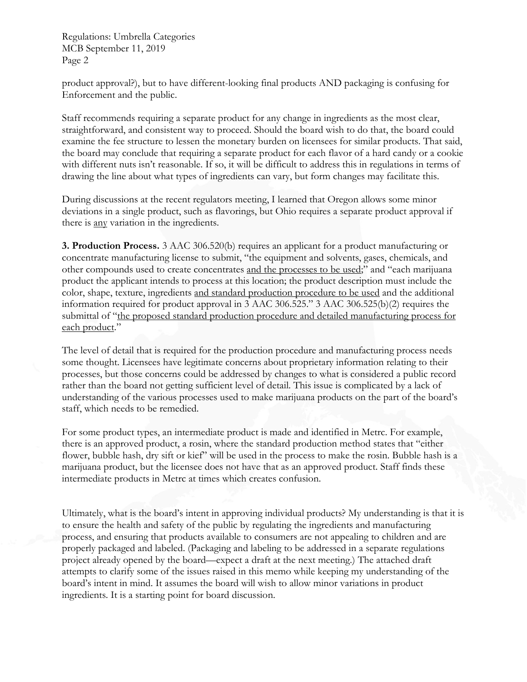Regulations: Umbrella Categories MCB September 11, 2019 Page 2

product approval?), but to have different-looking final products AND packaging is confusing for Enforcement and the public.

Staff recommends requiring a separate product for any change in ingredients as the most clear, straightforward, and consistent way to proceed. Should the board wish to do that, the board could examine the fee structure to lessen the monetary burden on licensees for similar products. That said, the board may conclude that requiring a separate product for each flavor of a hard candy or a cookie with different nuts isn't reasonable. If so, it will be difficult to address this in regulations in terms of drawing the line about what types of ingredients can vary, but form changes may facilitate this.

During discussions at the recent regulators meeting, I learned that Oregon allows some minor deviations in a single product, such as flavorings, but Ohio requires a separate product approval if there is any variation in the ingredients.

**3. Production Process.** 3 AAC 306.520(b) requires an applicant for a product manufacturing or concentrate manufacturing license to submit, "the equipment and solvents, gases, chemicals, and other compounds used to create concentrates and the processes to be used;" and "each marijuana product the applicant intends to process at this location; the product description must include the color, shape, texture, ingredients and standard production procedure to be used and the additional information required for product approval in 3 AAC 306.525." 3 AAC 306.525(b)(2) requires the submittal of "the proposed standard production procedure and detailed manufacturing process for each product."

The level of detail that is required for the production procedure and manufacturing process needs some thought. Licensees have legitimate concerns about proprietary information relating to their processes, but those concerns could be addressed by changes to what is considered a public record rather than the board not getting sufficient level of detail. This issue is complicated by a lack of understanding of the various processes used to make marijuana products on the part of the board's staff, which needs to be remedied.

For some product types, an intermediate product is made and identified in Metrc. For example, there is an approved product, a rosin, where the standard production method states that "either flower, bubble hash, dry sift or kief" will be used in the process to make the rosin. Bubble hash is a marijuana product, but the licensee does not have that as an approved product. Staff finds these intermediate products in Metrc at times which creates confusion.

Ultimately, what is the board's intent in approving individual products? My understanding is that it is to ensure the health and safety of the public by regulating the ingredients and manufacturing process, and ensuring that products available to consumers are not appealing to children and are properly packaged and labeled. (Packaging and labeling to be addressed in a separate regulations project already opened by the board—expect a draft at the next meeting.) The attached draft attempts to clarify some of the issues raised in this memo while keeping my understanding of the board's intent in mind. It assumes the board will wish to allow minor variations in product ingredients. It is a starting point for board discussion.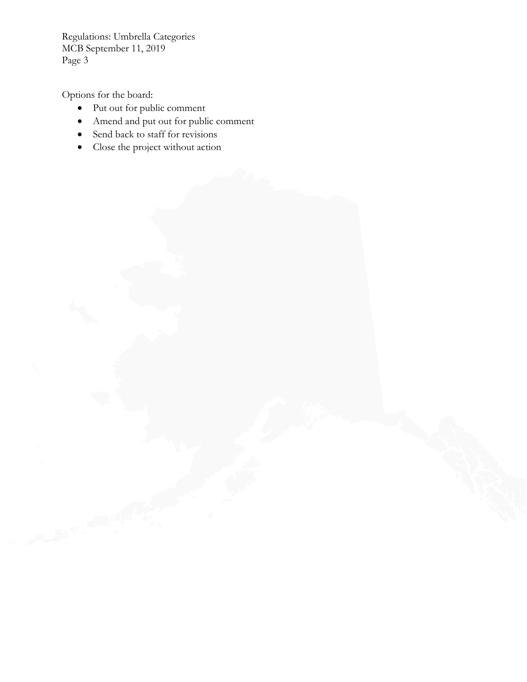Regulations: Umbrella Categories MCB September 11, 2019 Page 3

Options for the board:

- Put out for public comment
- Amend and put out for public comment
- Send back to staff for revisions
- Close the project without action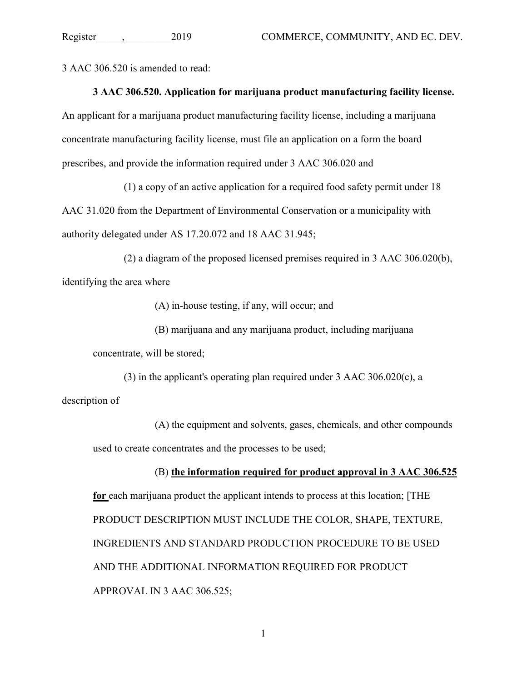3 AAC 306.520 is amended to read:

#### **3 AAC 306.520. Application for marijuana product manufacturing facility license.**

An applicant for a marijuana product manufacturing facility license, including a marijuana concentrate manufacturing facility license, must file an application on a form the board prescribes, and provide the information required under 3 AAC 306.020 and

(1) a copy of an active application for a required food safety permit under 18

AAC 31.020 from the Department of Environmental Conservation or a municipality with authority delegated under AS 17.20.072 and 18 AAC 31.945;

(2) a diagram of the proposed licensed premises required in 3 AAC 306.020(b), identifying the area where

(A) in-house testing, if any, will occur; and

(B) marijuana and any marijuana product, including marijuana

concentrate, will be stored;

(3) in the applicant's operating plan required under 3 AAC 306.020(c), a description of

(A) the equipment and solvents, gases, chemicals, and other compounds used to create concentrates and the processes to be used;

#### (B) **the information required for product approval in 3 AAC 306.525**

**for** each marijuana product the applicant intends to process at this location; [THE PRODUCT DESCRIPTION MUST INCLUDE THE COLOR, SHAPE, TEXTURE, INGREDIENTS AND STANDARD PRODUCTION PROCEDURE TO BE USED AND THE ADDITIONAL INFORMATION REQUIRED FOR PRODUCT APPROVAL IN 3 AAC 306.525;

1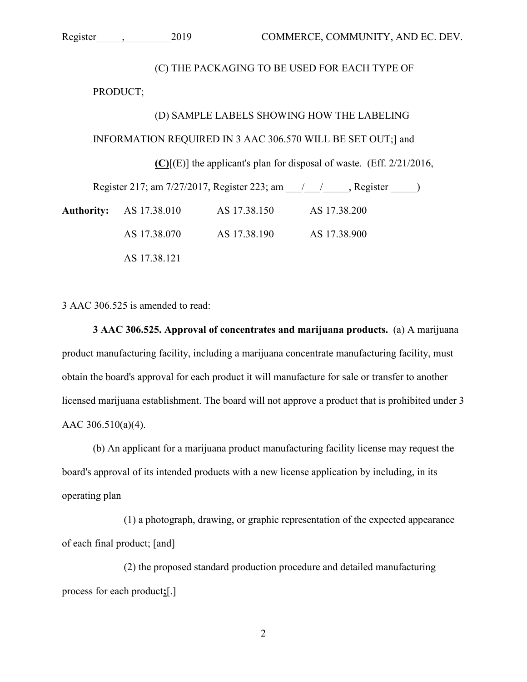#### (C) THE PACKAGING TO BE USED FOR EACH TYPE OF

PRODUCT;

#### (D) SAMPLE LABELS SHOWING HOW THE LABELING

#### INFORMATION REQUIRED IN 3 AAC 306.570 WILL BE SET OUT;] and

**(C)**[(E)] the applicant's plan for disposal of waste. (Eff. 2/21/2016,

Register 217; am 7/27/2017, Register 223; am  $\qquad / \qquad /$ , Register  $\qquad$ )

**Authority:** AS 17.38.010 AS 17.38.150 AS 17.38.200 AS 17.38.070 AS 17.38.190 AS 17.38.900 AS 17.38.121

3 AAC 306.525 is amended to read:

**3 AAC 306.525. Approval of concentrates and marijuana products.** (a) A marijuana product manufacturing facility, including a marijuana concentrate manufacturing facility, must obtain the board's approval for each product it will manufacture for sale or transfer to another licensed marijuana establishment. The board will not approve a product that is prohibited under 3 AAC 306.510(a)(4).

(b) An applicant for a marijuana product manufacturing facility license may request the board's approval of its intended products with a new license application by including, in its operating plan

(1) a photograph, drawing, or graphic representation of the expected appearance of each final product; [and]

(2) the proposed standard production procedure and detailed manufacturing process for each product**;**[.]

2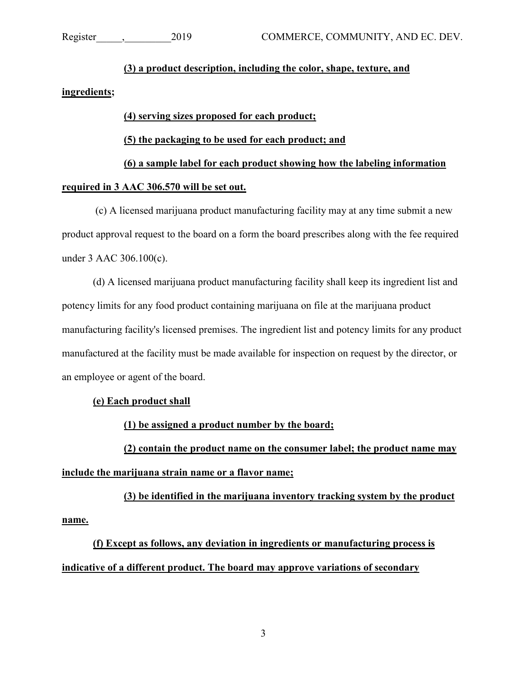## **(3) a product description, including the color, shape, texture, and**

#### **ingredients;**

## **(4) serving sizes proposed for each product;**

## **(5) the packaging to be used for each product; and**

# **(6) a sample label for each product showing how the labeling information**

## **required in 3 AAC 306.570 will be set out.**

(c) A licensed marijuana product manufacturing facility may at any time submit a new product approval request to the board on a form the board prescribes along with the fee required under 3 AAC 306.100(c).

(d) A licensed marijuana product manufacturing facility shall keep its ingredient list and potency limits for any food product containing marijuana on file at the marijuana product manufacturing facility's licensed premises. The ingredient list and potency limits for any product manufactured at the facility must be made available for inspection on request by the director, or an employee or agent of the board.

# **(e) Each product shall**

**(1) be assigned a product number by the board;**

**(2) contain the product name on the consumer label; the product name may include the marijuana strain name or a flavor name;**

**(3) be identified in the marijuana inventory tracking system by the product name.**

**(f) Except as follows, any deviation in ingredients or manufacturing process is indicative of a different product. The board may approve variations of secondary**